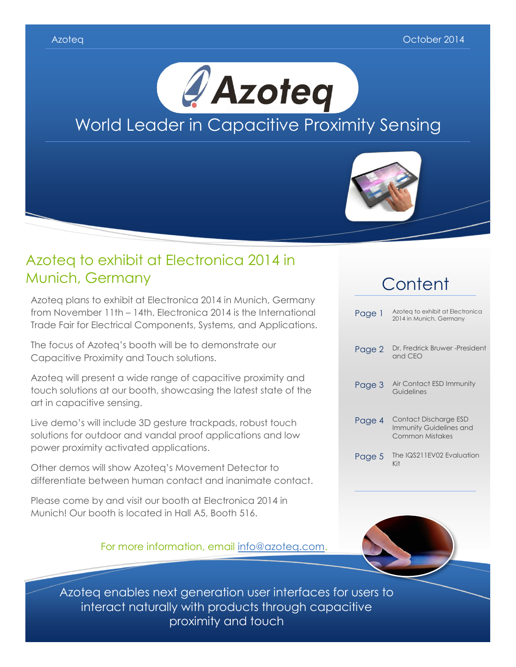



### Azoteq to exhibit at Electronica 2014 in Munich, Germany

Azoteq plans to exhibit at Electronica 2014 in Munich, Germany from November 11th – 14th. Electronica 2014 is the International Trade Fair for Electrical Components, Systems, and Applications.

The focus of Azoteq's booth will be to demonstrate our Capacitive Proximity and Touch solutions.

Azoteq will present a wide range of capacitive proximity and touch solutions at our booth, showcasing the latest state of the art in capacitive sensing.

Live demo's will include 3D gesture trackpads, robust touch solutions for outdoor and vandal proof applications and low power proximity activated applications.

Other demos will show Azoteq's Movement Detector to differentiate between human contact and inanimate contact.

Please come by and visit our booth at Electronica 2014 in Munich! Our booth is located in Hall A5, Booth 516.

For more information, email [info@azoteq.com.](mailto:info@azoteq.com)

## **Content**

| Page 1 | Azoteg to exhibit at Electronica<br>2014 in Munich, Germany         |
|--------|---------------------------------------------------------------------|
| Page 2 | Dr. Fredrick Bruwer -President<br>and CEO                           |
| Page 3 | Air Contact ESD Immunity<br>Guidelines                              |
| Page 4 | Contact Discharge ESD<br>Immunity Guidelines and<br>Common Mistakes |
| Page 5 | The IQS211EV02 Evaluation<br>Kit                                    |



Azoteq enables next generation user interfaces for users to interact naturally with products through capacitive proximity and touch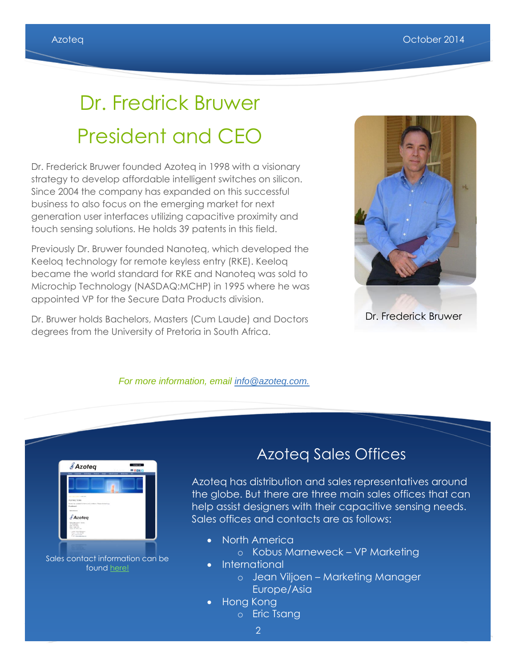# Dr. Fredrick Bruwer President and CEO

Dr. Frederick Bruwer founded Azoteq in 1998 with a visionary strategy to develop affordable intelligent switches on silicon. Since 2004 the company has expanded on this successful business to also focus on the emerging market for next generation user interfaces utilizing capacitive proximity and touch sensing solutions. He holds 39 patents in this field.

Previously Dr. Bruwer founded Nanoteq, which developed the Keeloq technology for remote keyless entry (RKE). Keeloq became the world standard for RKE and Nanoteq was sold to Microchip Technology (NASDAQ:MCHP) in 1995 where he was appointed VP for the Secure Data Products division.

Dr. Bruwer holds Bachelors, Masters (Cum Laude) and Doctors degrees from the University of Pretoria in South Africa.



#### *For more information, email [info@azoteq.com.](mailto:info@azoteq.com)*



### Azoteq Sales Offices

Azoteq has distribution and sales representatives around the globe. But there are three main sales offices that can help assist designers with their capacitive sensing needs. Sales offices and contacts are as follows:

- North America
	- o Kobus Marneweck VP Marketing
- International
	- o Jean Viljoen Marketing Manager Europe/Asia
- Hong Kong
	- o Eric Tsang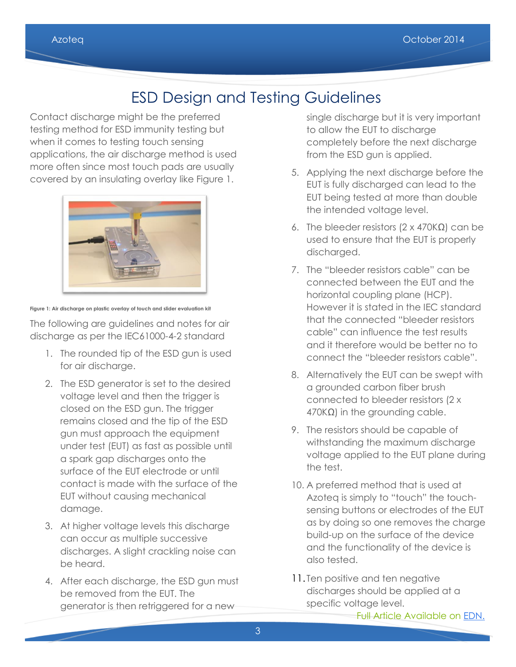### ESD Design and Testing Guidelines

Contact discharge might be the preferred testing method for ESD immunity testing but when it comes to testing touch sensing applications, the air discharge method is used more often since most touch pads are usually covered by an insulating overlay like Figure 1.



**Figure 1: Air discharge on plastic overlay of touch and slider evaluation kit**

The following are guidelines and notes for air discharge as per the IEC61000-4-2 standard

- 1. The rounded tip of the ESD gun is used for air discharge.
- 2. The ESD generator is set to the desired voltage level and then the trigger is closed on the ESD gun. The trigger remains closed and the tip of the ESD gun must approach the equipment under test (EUT) as fast as possible until a spark gap discharges onto the surface of the EUT electrode or until contact is made with the surface of the EUT without causing mechanical damage.
- 3. At higher voltage levels this discharge can occur as multiple successive discharges. A slight crackling noise can be heard.
- 4. After each discharge, the ESD gun must be removed from the EUT. The generator is then retriggered for a new

single discharge but it is very important to allow the EUT to discharge completely before the next discharge from the ESD gun is applied.

- 5. Applying the next discharge before the EUT is fully discharged can lead to the EUT being tested at more than double the intended voltage level.
- 6. The bleeder resistors (2 x 470KΩ) can be used to ensure that the EUT is properly discharged.
- 7. The "bleeder resistors cable" can be connected between the EUT and the horizontal coupling plane (HCP). However it is stated in the IEC standard that the connected "bleeder resistors cable" can influence the test results and it therefore would be better no to connect the "bleeder resistors cable".
- 8. Alternatively the EUT can be swept with a grounded carbon fiber brush connected to bleeder resistors (2 x  $470K\Omega$ ) in the grounding cable.
- 9. The resistors should be capable of withstanding the maximum discharge [voltage applied to the EUT plane during](http://www.youtube.com/watch?v=ZHzaVzYEZbw)  the test.
- 10. A preferred method that is used at Azoteq is simply to "touch" the touchsensing buttons or electrodes of the EUT as by doing so one removes the charge build-up on the surface of the device and the functionality of the device is also tested.
- 11. Ten positive and ten negative discharges should be applied at a specific voltage level.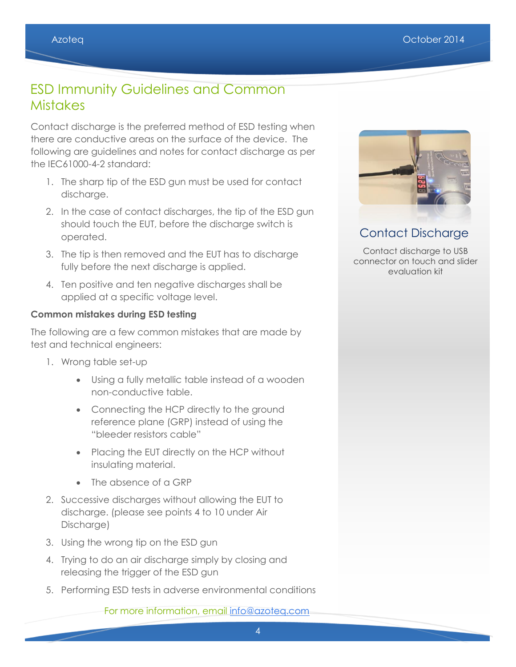### ESD Immunity Guidelines and Common **Mistakes**

Contact discharge is the preferred method of ESD testing when there are conductive areas on the surface of the device. The following are guidelines and notes for contact discharge as per the IEC61000-4-2 standard:

- 1. The sharp tip of the ESD gun must be used for contact discharge.
- 2. In the case of contact discharges, the tip of the ESD gun should touch the EUT, before the discharge switch is operated.
- 3. The tip is then removed and the EUT has to discharge fully before the next discharge is applied.
- 4. Ten positive and ten negative discharges shall be applied at a specific voltage level.

#### **Common mistakes during ESD testing**

The following are a few common mistakes that are made by test and technical engineers:

- 1. Wrong table set-up
	- Using a fully metallic table instead of a wooden non-conductive table.
	- Connecting the HCP directly to the ground reference plane (GRP) instead of using the "bleeder resistors cable"
	- Placing the EUT directly on the HCP without insulating material.
	- The absence of a GRP
- 2. Successive discharges without allowing the EUT to discharge. (please see points 4 to 10 under Air Discharge)
- 3. Using the wrong tip on the ESD gun
- 4. Trying to do an air discharge simply by closing and releasing the trigger of the ESD gun
- 5. Performing ESD tests in adverse environmental conditions

For more information, email [info@azoteq.com](mailto:info@azoteq.com)



Contact Discharge

Contact discharge to USB connector on touch and slider evaluation kit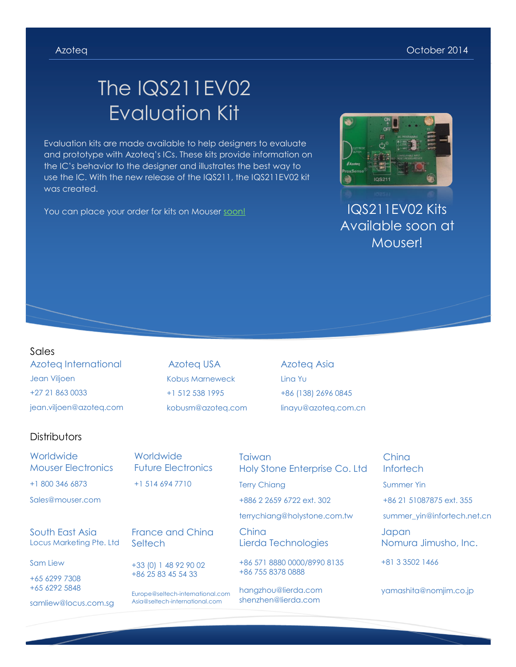# The IQS211EV02 Evaluation Kit

Evaluation kits are made available to help designers to evaluate and prototype with Azoteq's ICs. These kits provide information on the IC's behavior to the designer and illustrates the best way to use the IC. With the new release of the IQS211, the IQS211EV02 kit was created.

You can place your order for kits on Mouser [soon!](http://www.mouser.com/ProductDetail/Azoteq/IQS211EV02S/?qs=sGAEpiMZZMu58sUZeT0Q%2fpZzdZPv5spMGlB86CfEQcM%3d) IQS211EV02 Kits



Available soon at Mouser!

#### Sales

Azoteq International Jean Viljoen +27 21 863 0033 jean.viljoen@azoteq.com

Azoteq USA Kobus Marneweck +1 512 538 1995 kobusm@azoteq.com Azoteq Asia Lina Yu +86 (138) 2696 0845 linayu@azoteq.com.cn

#### **Distributors**

**Worldwide** Mouser Electronics +1 800 346 6873

Sales@mouser.com

South East Asia Locus Marketing Pte. Ltd

Sam Liew

+65 6299 7308 +65 6292 5848

samliew@locus.com.sg

**Worldwide** Future Electronics +1 514 694 7710

France and China **Seltech** 

+33 (0) 1 48 92 90 02 +86 25 83 45 54 33

Europe@seltech-international.com Asia@seltech-international.com

Taiwan Holy Stone Enterprise Co. Ltd

Terry Chiang +886 2 2659 6722 ext. 302

terrychiang@holystone.com.tw

China Lierda Technologies

+86 571 8880 0000/8990 8135 +86 755 8378 0888

hangzhou@lierda.com shenzhen@lierda.com

China **Infortech** 

Summer Yin

+86 21 51087875 ext. 355

summer\_yin@infortech.net.cn

Japan Nomura Jimusho, Inc.

+81 3 3502 1466

yamashita@nomjim.co.jp